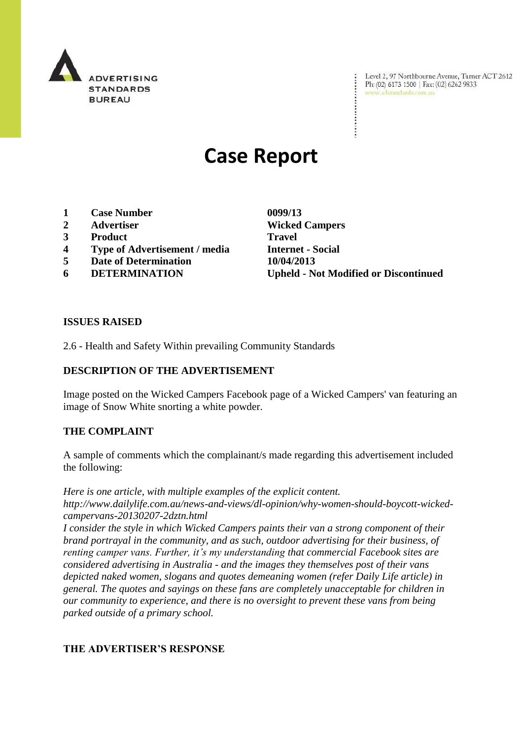

Level 2, 97 Northbourne Avenue, Turner ACT 2612 Ph: (02) 6173 1500 | Fax: (02) 6262 9833 www.adstandards.com.au

# **Case Report**

- **1 Case Number 0099/13**
- 
- **3 Product Travel**
- **4 Type of Advertisement / media Internet - Social**
- **5 Date of Determination 10/04/2013**
- 

**2 Advertiser Wicked Campers 6 DETERMINATION Upheld - Not Modified or Discontinued**

### **ISSUES RAISED**

2.6 - Health and Safety Within prevailing Community Standards

# **DESCRIPTION OF THE ADVERTISEMENT**

Image posted on the Wicked Campers Facebook page of a Wicked Campers' van featuring an image of Snow White snorting a white powder.

#### **THE COMPLAINT**

A sample of comments which the complainant/s made regarding this advertisement included the following:

*Here is one article, with multiple examples of the explicit content. http://www.dailylife.com.au/news-and-views/dl-opinion/why-women-should-boycott-wickedcampervans-20130207-2dztn.html*

*I consider the style in which Wicked Campers paints their van a strong component of their brand portrayal in the community, and as such, outdoor advertising for their business, of renting camper vans. Further, it's my understanding that commercial Facebook sites are considered advertising in Australia - and the images they themselves post of their vans depicted naked women, slogans and quotes demeaning women (refer Daily Life article) in general. The quotes and sayings on these fans are completely unacceptable for children in our community to experience, and there is no oversight to prevent these vans from being parked outside of a primary school.*

# **THE ADVERTISER'S RESPONSE**